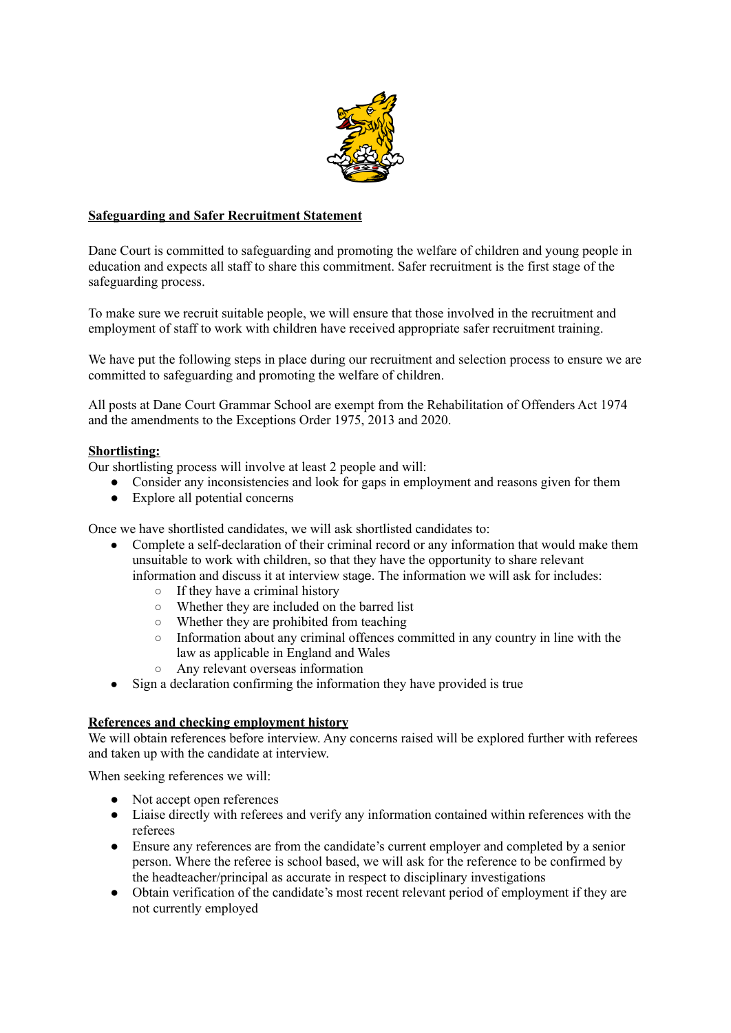

### **Safeguarding and Safer Recruitment Statement**

Dane Court is committed to safeguarding and promoting the welfare of children and young people in education and expects all staff to share this commitment. Safer recruitment is the first stage of the safeguarding process.

To make sure we recruit suitable people, we will ensure that those involved in the recruitment and employment of staff to work with children have received appropriate safer recruitment training.

We have put the following steps in place during our recruitment and selection process to ensure we are committed to safeguarding and promoting the welfare of children.

All posts at Dane Court Grammar School are exempt from the Rehabilitation of Offenders Act 1974 and the amendments to the Exceptions Order 1975, 2013 and 2020.

#### **Shortlisting:**

Our shortlisting process will involve at least 2 people and will:

- Consider any inconsistencies and look for gaps in employment and reasons given for them
- Explore all potential concerns

Once we have shortlisted candidates, we will ask shortlisted candidates to:

- Complete a self-declaration of their criminal record or any information that would make them unsuitable to work with children, so that they have the opportunity to share relevant information and discuss it at interview stage. The information we will ask for includes:
	- $\circ$  If they have a criminal history
	- Whether they are included on the barred list
	- Whether they are prohibited from teaching
	- Information about any criminal offences committed in any country in line with the law as applicable in England and Wales
	- Any relevant overseas information
- Sign a declaration confirming the information they have provided is true

#### **References and checking employment history**

We will obtain references before interview. Any concerns raised will be explored further with referees and taken up with the candidate at interview.

When seeking references we will:

- Not accept open references
- Liaise directly with referees and verify any information contained within references with the referees
- Ensure any references are from the candidate's current employer and completed by a senior person. Where the referee is school based, we will ask for the reference to be confirmed by the headteacher/principal as accurate in respect to disciplinary investigations
- Obtain verification of the candidate's most recent relevant period of employment if they are not currently employed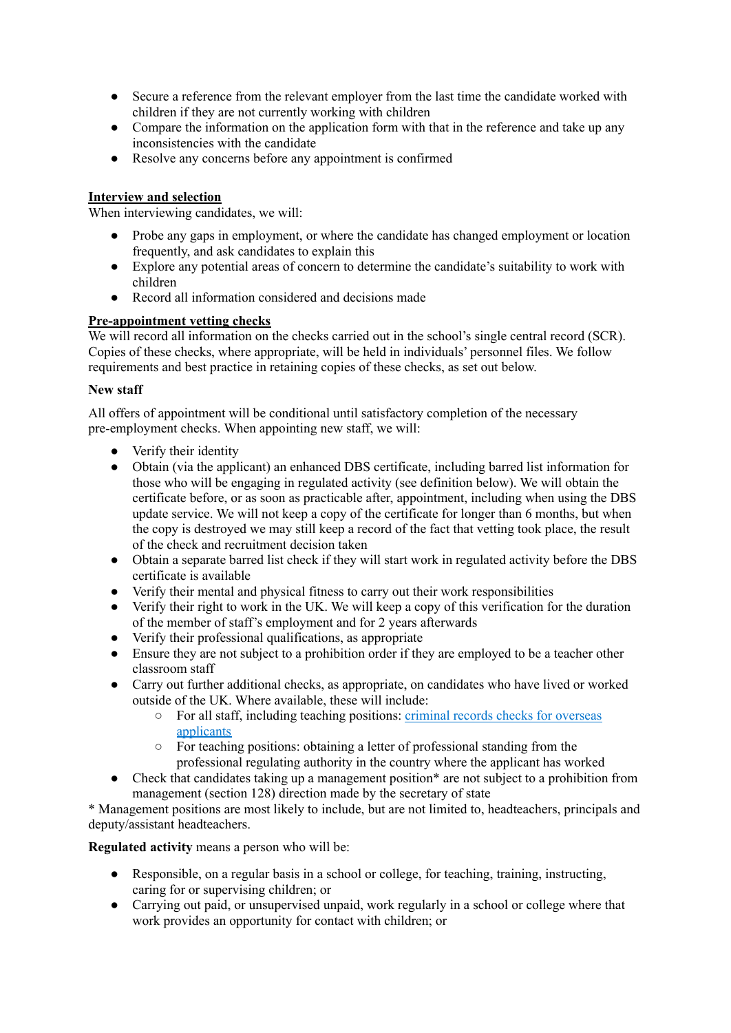- Secure a reference from the relevant employer from the last time the candidate worked with children if they are not currently working with children
- Compare the information on the application form with that in the reference and take up any inconsistencies with the candidate
- Resolve any concerns before any appointment is confirmed

# **Interview and selection**

When interviewing candidates, we will:

- Probe any gaps in employment, or where the candidate has changed employment or location frequently, and ask candidates to explain this
- Explore any potential areas of concern to determine the candidate's suitability to work with children
- Record all information considered and decisions made

## **Pre-appointment vetting checks**

We will record all information on the checks carried out in the school's single central record (SCR). Copies of these checks, where appropriate, will be held in individuals' personnel files. We follow requirements and best practice in retaining copies of these checks, as set out below.

### **New staff**

All offers of appointment will be conditional until satisfactory completion of the necessary pre-employment checks. When appointing new staff, we will:

- Verify their identity
- Obtain (via the applicant) an enhanced DBS certificate, including barred list information for those who will be engaging in regulated activity (see definition below). We will obtain the certificate before, or as soon as practicable after, appointment, including when using the DBS update service. We will not keep a copy of the certificate for longer than 6 months, but when the copy is destroyed we may still keep a record of the fact that vetting took place, the result of the check and recruitment decision taken
- Obtain a separate barred list check if they will start work in regulated activity before the DBS certificate is available
- Verify their mental and physical fitness to carry out their work responsibilities
- Verify their right to work in the UK. We will keep a copy of this verification for the duration of the member of staff's employment and for 2 years afterwards
- Verify their professional qualifications, as appropriate
- Ensure they are not subject to a prohibition order if they are employed to be a teacher other classroom staff
- Carry out further additional checks, as appropriate, on candidates who have lived or worked outside of the UK. Where available, these will include:
	- For all staff, including teaching positions: criminal records checks for [overseas](https://www.gov.uk/government/publications/criminal-records-checks-for-overseas-applicants) [applicants](https://www.gov.uk/government/publications/criminal-records-checks-for-overseas-applicants)
	- For teaching positions: obtaining a letter of professional standing from the professional regulating authority in the country where the applicant has worked
- Check that candidates taking up a management position<sup>\*</sup> are not subject to a prohibition from management (section 128) direction made by the secretary of state

\* Management positions are most likely to include, but are not limited to, headteachers, principals and deputy/assistant headteachers.

**Regulated activity** means a person who will be:

- Responsible, on a regular basis in a school or college, for teaching, training, instructing, caring for or supervising children; or
- Carrying out paid, or unsupervised unpaid, work regularly in a school or college where that work provides an opportunity for contact with children; or